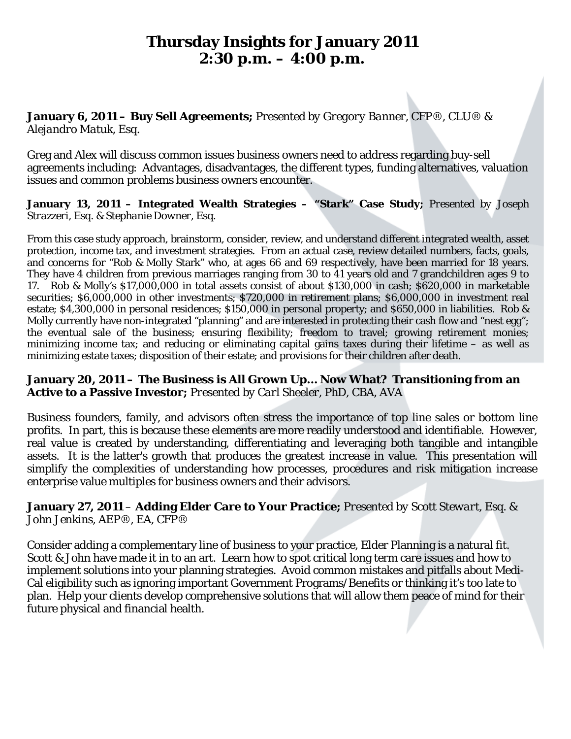# **Thursday Insights for January 2011 2:30 p.m. – 4:00 p.m.**

### **January 6, 2011 – Buy Sell Agreements;** *Presented by Gregory Banner, CFP®, CLU® & Alejandro Matuk, Esq.*

Greg and Alex will discuss common issues business owners need to address regarding buy-sell agreements including: Advantages, disadvantages, the different types, funding alternatives, valuation issues and common problems business owners encounter.

### **January 13, 2011 – Integrated Wealth Strategies – "Stark" Case Study;** *Presented by Joseph Strazzeri, Esq. & Stephanie Downer, Esq.*

From this case study approach, brainstorm, consider, review, and understand different integrated wealth, asset protection, income tax, and investment strategies. From an actual case, review detailed numbers, facts, goals, and concerns for "Rob & Molly Stark" who, at ages 66 and 69 respectively, have been married for 18 years. They have 4 children from previous marriages ranging from 30 to 41 years old and 7 grandchildren ages 9 to 17. Rob & Molly's \$17,000,000 in total assets consist of about \$130,000 in cash; \$620,000 in marketable securities; \$6,000,000 in other investments; \$720,000 in retirement plans; \$6,000,000 in investment real estate; \$4,300,000 in personal residences; \$150,000 in personal property; and \$650,000 in liabilities. Rob & Molly currently have non-integrated "planning" and are interested in protecting their cash flow and "nest egg"; the eventual sale of the business; ensuring flexibility; freedom to travel; growing retirement monies; minimizing income tax; and reducing or eliminating capital gains taxes during their lifetime – as well as minimizing estate taxes; disposition of their estate; and provisions for their children after death.

## **January 20, 2011 – The Business is All Grown Up… Now What? Transitioning from an Active to a Passive Investor;** *Presented by Carl Sheeler, PhD, CBA, AVA*

Business founders, family, and advisors often stress the importance of top line sales or bottom line profits. In part, this is because these elements are more readily understood and identifiable. However, real value is created by understanding, differentiating and leveraging both tangible and intangible assets. It is the latter's growth that produces the greatest increase in value. This presentation will simplify the complexities of understanding how processes, procedures and risk mitigation increase enterprise value multiples for business owners and their advisors.

### **January 27, 2011** – **Adding Elder Care to Your Practice;** *Presented by Scott Stewart, Esq. & John Jenkins, AEP®, EA, CFP®*

Consider adding a complementary line of business to your practice, Elder Planning is a natural fit. Scott & John have made it in to an art. Learn how to spot critical long term care issues and how to implement solutions into your planning strategies. Avoid common mistakes and pitfalls about Medi-Cal eligibility such as ignoring important Government Programs/Benefits or thinking it's too late to plan. Help your clients develop comprehensive solutions that will allow them peace of mind for their future physical and financial health.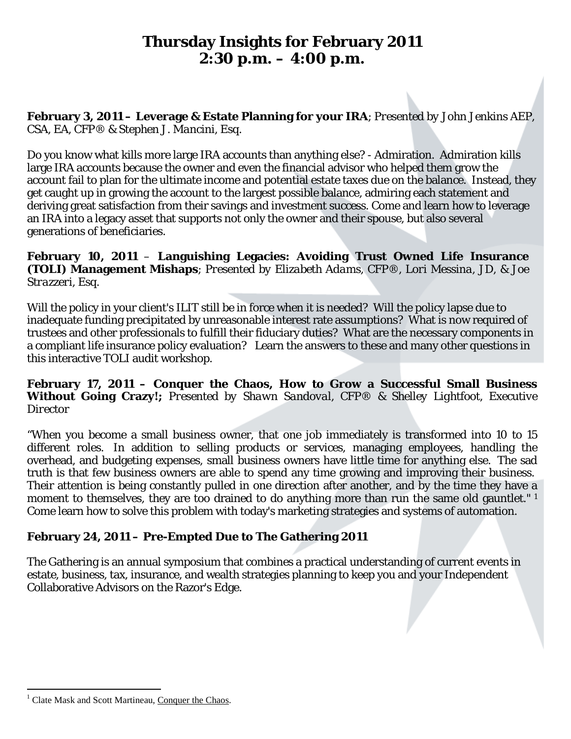# **Thursday Insights for February 2011 2:30 p.m. – 4:00 p.m.**

**February 3, 2011 – Leverage & Estate Planning for your IRA**; *Presented by John Jenkins AEP, CSA, EA, CFP® & Stephen J. Mancini, Esq.*

Do you know what kills more large IRA accounts than anything else? - Admiration. Admiration kills large IRA accounts because the owner and even the financial advisor who helped them grow the account fail to plan for the ultimate income and potential estate taxes due on the balance. Instead, they get caught up in growing the account to the largest possible balance, admiring each statement and deriving great satisfaction from their savings and investment success. Come and learn how to leverage an IRA into a legacy asset that supports not only the owner and their spouse, but also several generations of beneficiaries.

**February 10, 2011** – **Languishing Legacies: Avoiding Trust Owned Life Insurance (TOLI) Management Mishaps**; *Presented by Elizabeth Adams, CFP®, Lori Messina, JD, & Joe Strazzeri, Esq.*

Will the policy in your client's ILIT still be in force when it is needed? Will the policy lapse due to inadequate funding precipitated by unreasonable interest rate assumptions? What is now required of trustees and other professionals to fulfill their fiduciary duties? What are the necessary components in a compliant life insurance policy evaluation? Learn the answers to these and many other questions in this interactive TOLI audit workshop.

**February 17, 2011 – Conquer the Chaos, How to Grow a Successful Small Business Without Going Crazy!;** *Presented by Shawn Sandoval, CFP® & Shelley Lightfoot, Executive Director*

"When you become a small business owner, that one job immediately is transformed into 10 to 15 different roles. In addition to selling products or services, managing employees, handling the overhead, and budgeting expenses, small business owners have little time for anything else. The sad truth is that few business owners are able to spend any time growing and improving their business. Their attention is being constantly pulled in one direction after another, and by the time they have a moment to themselves, they are too drained to do anything more than run the same old gauntlet."<sup>[1](#page-1-0)</sup> Come learn how to solve this problem with today's marketing strategies and systems of automation.

# **February 24, 2011 – Pre-Empted Due to The Gathering 2011**

The Gathering is an annual symposium that combines a practical understanding of current events in estate, business, tax, insurance, and wealth strategies planning to keep you and your Independent Collaborative Advisors on the Razor's Edge.

<span id="page-1-0"></span><sup>&</sup>lt;sup>1</sup> Clate Mask and Scott Martineau, Conquer the Chaos.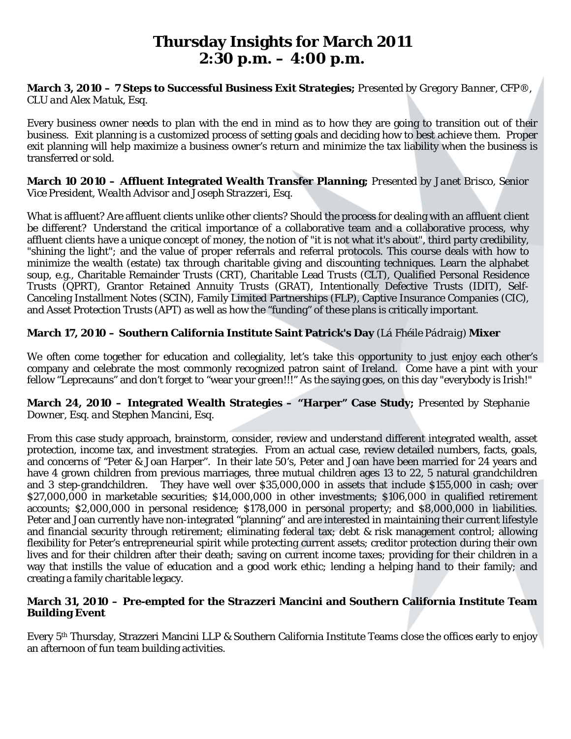# **Thursday Insights for March 2011 2:30 p.m. – 4:00 p.m.**

### **March 3, 2010 – 7 Steps to Successful Business Exit Strategies;** *Presented by Gregory Banner, CFP®, CLU and Alex Matuk, Esq.*

Every business owner needs to plan with the end in mind as to how they are going to transition out of their business. Exit planning is a customized process of setting goals and deciding how to best achieve them. Proper exit planning will help maximize a business owner's return and minimize the tax liability when the business is transferred or sold.

### **March 10 2010 – Affluent Integrated Wealth Transfer Planning;** *Presented by Janet Brisco, Senior Vice President, Wealth Advisor and Joseph Strazzeri, Esq.*

What is affluent? Are affluent clients unlike other clients? Should the process for dealing with an affluent client be different? Understand the critical importance of a collaborative team and a collaborative process, why affluent clients have a unique concept of money, the notion of "it is not what it's about", third party credibility, "shining the light"; and the value of proper referrals and referral protocols. This course deals with how to minimize the wealth (estate) tax through charitable giving and discounting techniques. Learn the alphabet soup, e.g., Charitable Remainder Trusts (CRT), Charitable Lead Trusts (CLT), Qualified Personal Residence Trusts (QPRT), Grantor Retained Annuity Trusts (GRAT), Intentionally Defective Trusts (IDIT), Self-Canceling Installment Notes (SCIN), Family Limited Partnerships (FLP), Captive Insurance Companies (CIC), and Asset Protection Trusts (APT) as well as how the "funding" of these plans is critically important.

## **March 17, 2010 – Southern California Institute Saint Patrick's Day** (*Lá Fhéile Pádraig*) **Mixer**

We often come together for education and collegiality, let's take this opportunity to just enjoy each other's company and celebrate the most commonly recognized [patron saint](http://en.wikipedia.org/wiki/Patron_saint) of [Ireland.](http://en.wikipedia.org/wiki/Ireland) Come have a pint with your fellow "Leprecauns" and don't forget to "wear your green!!!" As the saying goes, on this day "everybody is Irish!"

### **March 24, 2010 – Integrated Wealth Strategies – "Harper" Case Study;** *Presented by Stephanie Downer, Esq. and Stephen Mancini, Esq.*

From this case study approach, brainstorm, consider, review and understand different integrated wealth, asset protection, income tax, and investment strategies. From an actual case, review detailed numbers, facts, goals, and concerns of "Peter & Joan Harper". In their late 50's, Peter and Joan have been married for 24 years and have 4 grown children from previous marriages, three mutual children ages 13 to 22, 5 natural grandchildren and 3 step-grandchildren. They have well over \$35,000,000 in assets that include \$155,000 in cash; over \$27,000,000 in marketable securities; \$14,000,000 in other investments; \$106,000 in qualified retirement accounts; \$2,000,000 in personal residence; \$178,000 in personal property; and \$8,000,000 in liabilities. Peter and Joan currently have non-integrated "planning" and are interested in maintaining their current lifestyle and financial security through retirement; eliminating federal tax; debt & risk management control; allowing flexibility for Peter's entrepreneurial spirit while protecting current assets; creditor protection during their own lives and for their children after their death; saving on current income taxes; providing for their children in a way that instills the value of education and a good work ethic; lending a helping hand to their family; and creating a family charitable legacy.

### **March 31, 2010 – Pre-empted for the Strazzeri Mancini and Southern California Institute Team Building Event**

Every 5th Thursday, Strazzeri Mancini LLP & Southern California Institute Teams close the offices early to enjoy an afternoon of fun team building activities.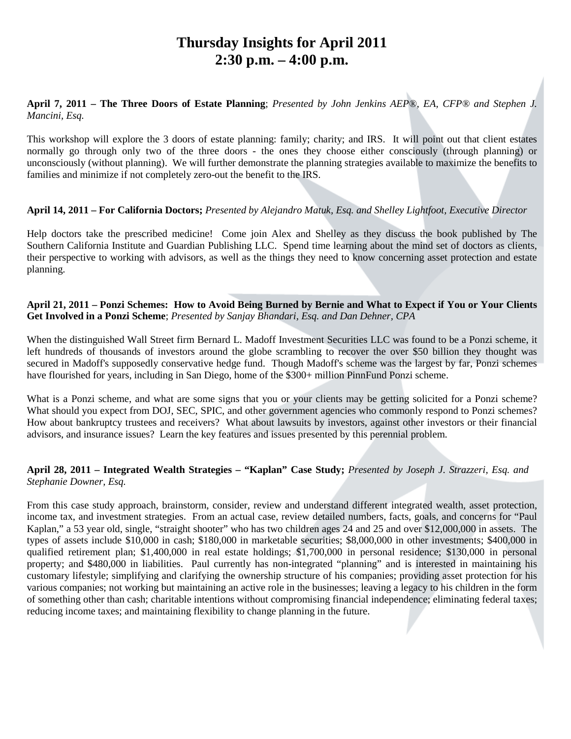# **Thursday Insights for April 2011 2:30 p.m. – 4:00 p.m.**

**April 7, 2011 – The Three Doors of Estate Planning**; *Presented by John Jenkins AEP®, EA, CFP® and Stephen J. Mancini, Esq.*

This workshop will explore the 3 doors of estate planning: family; charity; and IRS. It will point out that client estates normally go through only two of the three doors - the ones they choose either consciously (through planning) or unconsciously (without planning). We will further demonstrate the planning strategies available to maximize the benefits to families and minimize if not completely zero-out the benefit to the IRS.

#### **April 14, 2011 – For California Doctors;** *Presented by Alejandro Matuk, Esq. and Shelley Lightfoot, Executive Director*

Help doctors take the prescribed medicine! Come join Alex and Shelley as they discuss the book published by The Southern California Institute and Guardian Publishing LLC. Spend time learning about the mind set of doctors as clients, their perspective to working with advisors, as well as the things they need to know concerning asset protection and estate planning.

#### **April 21, 2011 – Ponzi Schemes: How to Avoid Being Burned by Bernie and What to Expect if You or Your Clients Get Involved in a Ponzi Scheme**; *Presented by Sanjay Bhandari, Esq. and Dan Dehner, CPA*

When the distinguished Wall Street firm Bernard L. Madoff Investment Securities LLC was found to be a Ponzi scheme, it left hundreds of thousands of investors around the globe scrambling to recover the over \$50 billion they thought was secured in Madoff's supposedly conservative hedge fund. Though Madoff's scheme was the largest by far, Ponzi schemes have flourished for years, including in San Diego, home of the \$300+ million PinnFund Ponzi scheme.

What is a Ponzi scheme, and what are some signs that you or your clients may be getting solicited for a Ponzi scheme? What should you expect from DOJ, SEC, SPIC, and other government agencies who commonly respond to Ponzi schemes? How about bankruptcy trustees and receivers? What about lawsuits by investors, against other investors or their financial advisors, and insurance issues? Learn the key features and issues presented by this perennial problem.

### **April 28, 2011 – Integrated Wealth Strategies – "Kaplan" Case Study;** *Presented by Joseph J. Strazzeri, Esq. and Stephanie Downer, Esq.*

From this case study approach, brainstorm, consider, review and understand different integrated wealth, asset protection, income tax, and investment strategies. From an actual case, review detailed numbers, facts, goals, and concerns for "Paul Kaplan," a 53 year old, single, "straight shooter" who has two children ages 24 and 25 and over \$12,000,000 in assets. The types of assets include \$10,000 in cash; \$180,000 in marketable securities; \$8,000,000 in other investments; \$400,000 in qualified retirement plan; \$1,400,000 in real estate holdings; \$1,700,000 in personal residence; \$130,000 in personal property; and \$480,000 in liabilities. Paul currently has non-integrated "planning" and is interested in maintaining his customary lifestyle; simplifying and clarifying the ownership structure of his companies; providing asset protection for his various companies; not working but maintaining an active role in the businesses; leaving a legacy to his children in the form of something other than cash; charitable intentions without compromising financial independence; eliminating federal taxes; reducing income taxes; and maintaining flexibility to change planning in the future.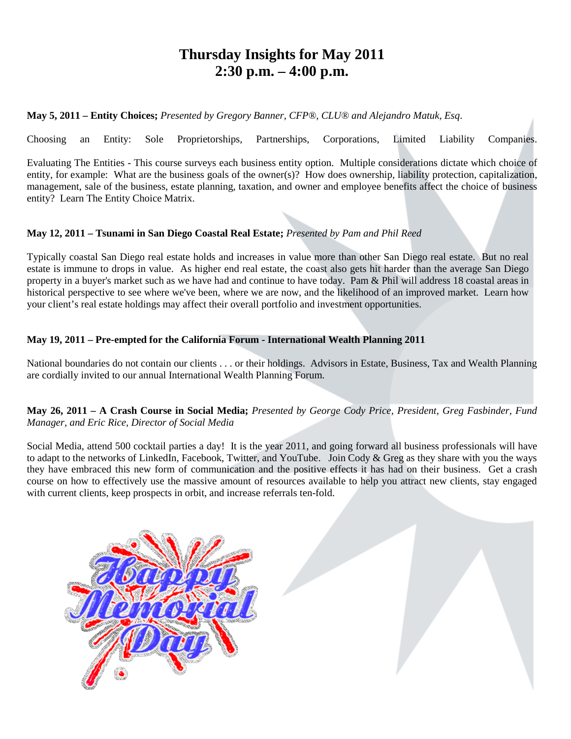# **Thursday Insights for May 2011 2:30 p.m. – 4:00 p.m.**

**May 5, 2011 – Entity Choices;** *Presented by Gregory Banner, CFP®, CLU® and Alejandro Matuk, Esq*.

Choosing an Entity: Sole Proprietorships, Partnerships, Corporations, Limited Liability Companies.

Evaluating The Entities - This course surveys each business entity option. Multiple considerations dictate which choice of entity, for example: What are the business goals of the owner(s)? How does ownership, liability protection, capitalization, management, sale of the business, estate planning, taxation, and owner and employee benefits affect the choice of business entity? Learn The Entity Choice Matrix.

### **May 12, 2011 – Tsunami in San Diego Coastal Real Estate;** *Presented by Pam and Phil Reed*

Typically coastal San Diego real estate holds and increases in value more than other San Diego real estate. But no real estate is immune to drops in value. As higher end real estate, the coast also gets hit harder than the average San Diego property in a buyer's market such as we have had and continue to have today. Pam & Phil will address 18 coastal areas in historical perspective to see where we've been, where we are now, and the likelihood of an improved market. Learn how your client's real estate holdings may affect their overall portfolio and investment opportunities.

#### **May 19, 2011 – Pre-empted for the California Forum - International Wealth Planning 2011**

National boundaries do not contain our clients . . . or their holdings. Advisors in Estate, Business, Tax and Wealth Planning are cordially invited to our annual International Wealth Planning Forum.

#### **May 26, 2011 – A Crash Course in Social Media;** *Presented by George Cody Price, President, Greg Fasbinder, Fund Manager, and Eric Rice, Director of Social Media*

Social Media, attend 500 cocktail parties a day! It is the year 2011, and going forward all business professionals will have to adapt to the networks of LinkedIn, Facebook, Twitter, and YouTube. Join Cody & Greg as they share with you the ways they have embraced this new form of communication and the positive effects it has had on their business. Get a crash course on how to effectively use the massive amount of resources available to help you attract new clients, stay engaged with current clients, keep prospects in orbit, and increase referrals ten-fold.

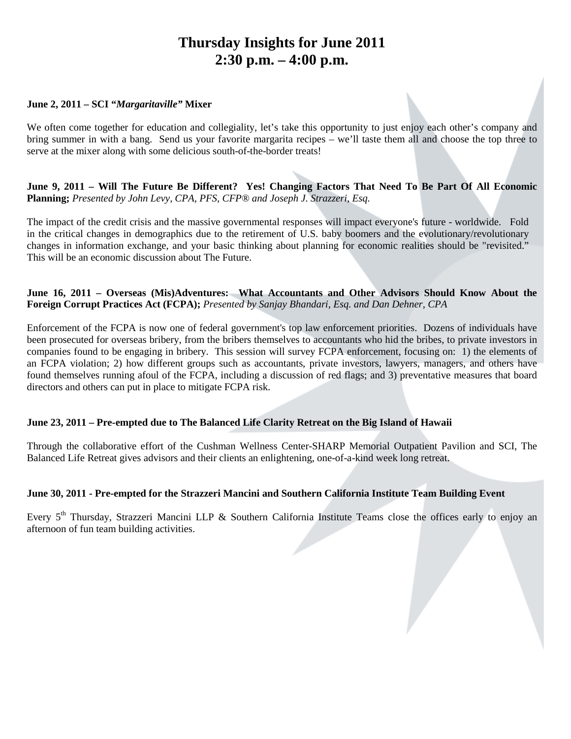# **Thursday Insights for June 2011 2:30 p.m. – 4:00 p.m.**

#### **June 2, 2011 – SCI "***Margaritaville"* **Mixer**

We often come together for education and collegiality, let's take this opportunity to just enjoy each other's company and bring summer in with a bang. Send us your favorite margarita recipes – we'll taste them all and choose the top three to serve at the mixer along with some delicious south-of-the-border treats!

**June 9, 2011 – Will The Future Be Different? Yes! Changing Factors That Need To Be Part Of All Economic Planning;** *Presented by John Levy, CPA, PFS, CFP® and Joseph J. Strazzeri, Esq.*

The impact of the credit crisis and the massive governmental responses will impact everyone's future - worldwide. Fold in the critical changes in demographics due to the retirement of U.S. baby boomers and the evolutionary/revolutionary changes in information exchange, and your basic thinking about planning for economic realities should be "revisited." This will be an economic discussion about The Future.

#### **June 16, 2011 – Overseas (Mis)Adventures: What Accountants and Other Advisors Should Know About the Foreign Corrupt Practices Act (FCPA);** *Presented by Sanjay Bhandari, Esq. and Dan Dehner, CPA*

Enforcement of the FCPA is now one of federal government's top law enforcement priorities. Dozens of individuals have been prosecuted for overseas bribery, from the bribers themselves to accountants who hid the bribes, to private investors in companies found to be engaging in bribery. This session will survey FCPA enforcement, focusing on: 1) the elements of an FCPA violation; 2) how different groups such as accountants, private investors, lawyers, managers, and others have found themselves running afoul of the FCPA, including a discussion of red flags; and 3) preventative measures that board directors and others can put in place to mitigate FCPA risk.

#### **June 23, 2011 – Pre-empted due to The Balanced Life Clarity Retreat on the Big Island of Hawaii**

Through the collaborative effort of the Cushman Wellness Center-SHARP Memorial Outpatient Pavilion and SCI, The Balanced Life Retreat gives advisors and their clients an enlightening, one-of-a-kind week long retreat.

#### **June 30, 2011 - Pre-empted for the Strazzeri Mancini and Southern California Institute Team Building Event**

Every 5<sup>th</sup> Thursday, Strazzeri Mancini LLP & Southern California Institute Teams close the offices early to enjoy an afternoon of fun team building activities.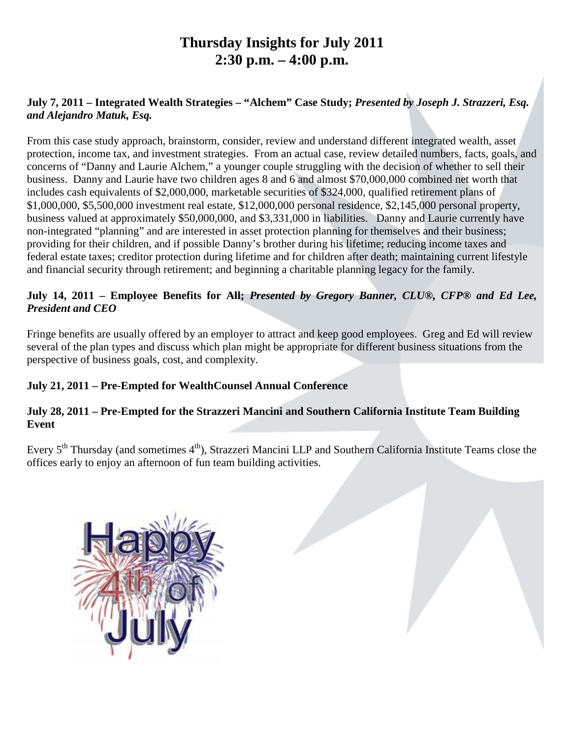# **Thursday Insights for July 2011 2:30 p.m. – 4:00 p.m.**

# **July 7, 2011 – Integrated Wealth Strategies – "Alchem" Case Study;** *Presented by Joseph J. Strazzeri, Esq. and Alejandro Matuk, Esq.*

From this case study approach, brainstorm, consider, review and understand different integrated wealth, asset protection, income tax, and investment strategies. From an actual case, review detailed numbers, facts, goals, and concerns of "Danny and Laurie Alchem," a younger couple struggling with the decision of whether to sell their business. Danny and Laurie have two children ages 8 and 6 and almost \$70,000,000 combined net worth that includes cash equivalents of \$2,000,000, marketable securities of \$324,000, qualified retirement plans of \$1,000,000, \$5,500,000 investment real estate, \$12,000,000 personal residence, \$2,145,000 personal property, business valued at approximately \$50,000,000, and \$3,331,000 in liabilities. Danny and Laurie currently have non-integrated "planning" and are interested in asset protection planning for themselves and their business; providing for their children, and if possible Danny's brother during his lifetime; reducing income taxes and federal estate taxes; creditor protection during lifetime and for children after death; maintaining current lifestyle and financial security through retirement; and beginning a charitable planning legacy for the family.

# **July 14, 2011 – Employee Benefits for All;** *Presented by Gregory Banner, CLU®, CFP® and Ed Lee, President and CEO*

Fringe benefits are usually offered by an employer to attract and keep good employees. Greg and Ed will review several of the plan types and discuss which plan might be appropriate for different business situations from the perspective of business goals, cost, and complexity.

# **July 21, 2011 – Pre-Empted for WealthCounsel Annual Conference**

## **July 28, 2011 – Pre-Empted for the Strazzeri Mancini and Southern California Institute Team Building Event**

Every 5<sup>th</sup> Thursday (and sometimes 4<sup>th</sup>), Strazzeri Mancini LLP and Southern California Institute Teams close the offices early to enjoy an afternoon of fun team building activities.

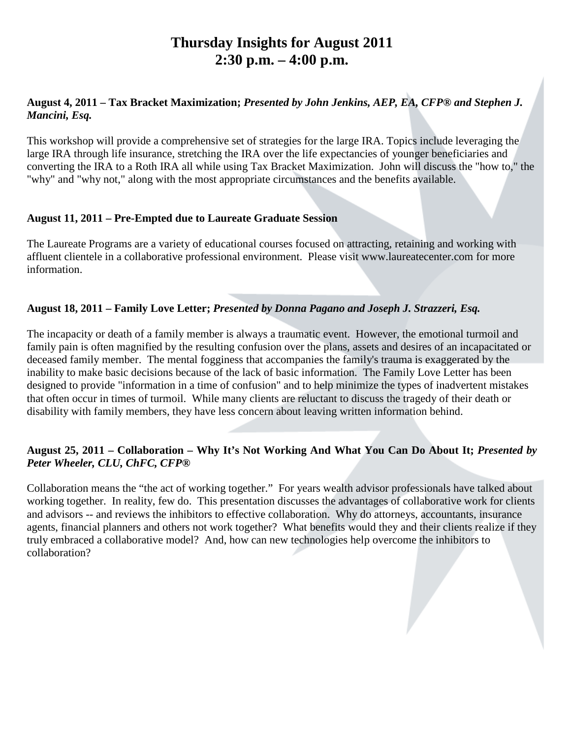# **Thursday Insights for August 2011 2:30 p.m. – 4:00 p.m.**

### **August 4, 2011 – Tax Bracket Maximization;** *Presented by John Jenkins, AEP, EA, CFP® and Stephen J. Mancini, Esq.*

This workshop will provide a comprehensive set of strategies for the large IRA. Topics include leveraging the large IRA through life insurance, stretching the IRA over the life expectancies of younger beneficiaries and converting the IRA to a Roth IRA all while using Tax Bracket Maximization. John will discuss the "how to," the "why" and "why not," along with the most appropriate circumstances and the benefits available.

## **August 11, 2011 – Pre-Empted due to Laureate Graduate Session**

The Laureate Programs are a variety of educational courses focused on attracting, retaining and working with affluent clientele in a collaborative professional environment. Please visit www.laureatecenter.com for more information.

## **August 18, 2011 – Family Love Letter;** *Presented by Donna Pagano and Joseph J. Strazzeri, Esq.*

The incapacity or death of a family member is always a traumatic event. However, the emotional turmoil and family pain is often magnified by the resulting confusion over the plans, assets and desires of an incapacitated or deceased family member. The mental fogginess that accompanies the family's trauma is exaggerated by the inability to make basic decisions because of the lack of basic information. The Family Love Letter has been designed to provide "information in a time of confusion" and to help minimize the types of inadvertent mistakes that often occur in times of turmoil. While many clients are reluctant to discuss the tragedy of their death or disability with family members, they have less concern about leaving written information behind.

# **August 25, 2011 – Collaboration – Why It's Not Working And What You Can Do About It;** *Presented by Peter Wheeler, CLU, ChFC, CFP®*

Collaboration means the "the act of working together." For years wealth advisor professionals have talked about working together. In reality, few do. This presentation discusses the advantages of collaborative work for clients and advisors -- and reviews the inhibitors to effective collaboration. Why do attorneys, accountants, insurance agents, financial planners and others not work together? What benefits would they and their clients realize if they truly embraced a collaborative model? And, how can new technologies help overcome the inhibitors to collaboration?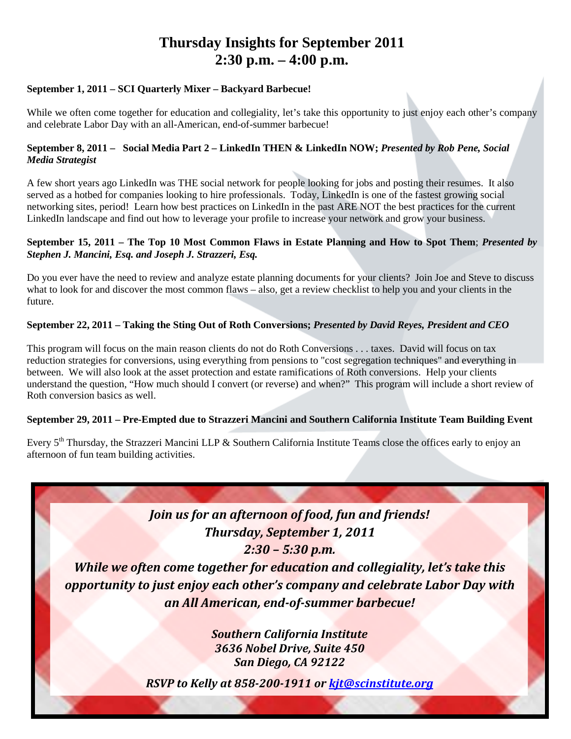# **Thursday Insights for September 2011 2:30 p.m. – 4:00 p.m.**

#### **September 1, 2011 – SCI Quarterly Mixer – Backyard Barbecue!**

While we often come together for education and collegiality, let's take this opportunity to just enjoy each other's company and celebrate Labor Day with an all-American, end-of-summer barbecue!

#### **September 8, 2011 – Social Media Part 2 – LinkedIn THEN & LinkedIn NOW;** *Presented by Rob Pene, Social Media Strategist*

A few short years ago LinkedIn was THE social network for people looking for jobs and posting their resumes. It also served as a hotbed for companies looking to hire professionals. Today, LinkedIn is one of the fastest growing social networking sites, period! Learn how best practices on LinkedIn in the past ARE NOT the best practices for the current LinkedIn landscape and find out how to leverage your profile to increase your network and grow your business.

#### **September 15, 2011 – The Top 10 Most Common Flaws in Estate Planning and How to Spot Them**; *Presented by Stephen J. Mancini, Esq. and Joseph J. Strazzeri, Esq.*

Do you ever have the need to review and analyze estate planning documents for your clients? Join Joe and Steve to discuss what to look for and discover the most common flaws – also, get a review checklist to help you and your clients in the future.

### **September 22, 2011 – Taking the Sting Out of Roth Conversions;** *Presented by David Reyes, President and CEO*

This program will focus on the main reason clients do not do Roth Conversions . . . taxes. David will focus on tax reduction strategies for conversions, using everything from pensions to "cost segregation techniques" and everything in between. We will also look at the asset protection and estate ramifications of Roth conversions. Help your clients understand the question, "How much should I convert (or reverse) and when?" This program will include a short review of Roth conversion basics as well.

### **September 29, 2011 – Pre-Empted due to Strazzeri Mancini and Southern California Institute Team Building Event**

Every  $5<sup>th</sup>$  Thursday, the Strazzeri Mancini LLP & Southern California Institute Teams close the offices early to enjoy an afternoon of fun team building activities.

# *Join us for an afternoon of food, fun and friends! Thursday, September 1, 2011 2:30 – 5:30 p.m.*

*While we often come together for education and collegiality, let's take this opportunity to just enjoy each other's company and celebrate Labor Day with an All American, end-of-summer barbecue!*

> *Southern California Institute 3636 Nobel Drive, Suite 450 San Diego, CA 92122*

*RSVP to Kelly at 858-200-1911 or [kjt@scinstitute.org](mailto:kjt@scinstitute.org)*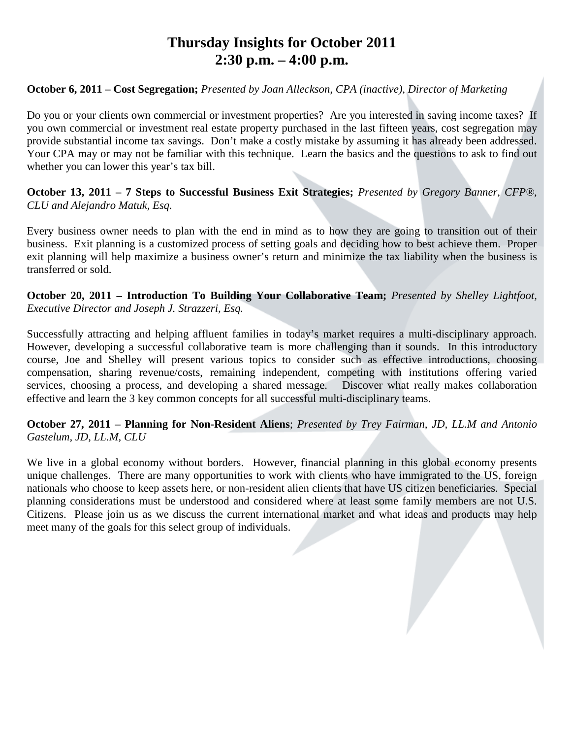# **Thursday Insights for October 2011 2:30 p.m. – 4:00 p.m.**

### **October 6, 2011 – Cost Segregation;** *Presented by Joan Alleckson, CPA (inactive), Director of Marketing*

Do you or your clients own commercial or investment properties? Are you interested in saving income taxes? If you own commercial or investment real estate property purchased in the last fifteen years, cost segregation may provide substantial income tax savings. Don't make a costly mistake by assuming it has already been addressed. Your CPA may or may not be familiar with this technique. Learn the basics and the questions to ask to find out whether you can lower this year's tax bill.

**October 13, 2011 – 7 Steps to Successful Business Exit Strategies;** *Presented by Gregory Banner, CFP®, CLU and Alejandro Matuk, Esq.* 

Every business owner needs to plan with the end in mind as to how they are going to transition out of their business. Exit planning is a customized process of setting goals and deciding how to best achieve them. Proper exit planning will help maximize a business owner's return and minimize the tax liability when the business is transferred or sold.

**October 20, 2011 – Introduction To Building Your Collaborative Team;** *Presented by Shelley Lightfoot, Executive Director and Joseph J. Strazzeri, Esq.*

Successfully attracting and helping affluent families in today's market requires a multi-disciplinary approach. However, developing a successful collaborative team is more challenging than it sounds. In this introductory course, Joe and Shelley will present various topics to consider such as effective introductions, choosing compensation, sharing revenue/costs, remaining independent, competing with institutions offering varied services, choosing a process, and developing a shared message. Discover what really makes collaboration effective and learn the 3 key common concepts for all successful multi-disciplinary teams.

### **October 27, 2011 – Planning for Non-Resident Aliens**; *Presented by Trey Fairman, JD, LL.M and Antonio Gastelum, JD, LL.M, CLU*

We live in a global economy without borders. However, financial planning in this global economy presents unique challenges. There are many opportunities to work with clients who have immigrated to the US, foreign nationals who choose to keep assets here, or non-resident alien clients that have US citizen beneficiaries. Special planning considerations must be understood and considered where at least some family members are not U.S. Citizens. Please join us as we discuss the current international market and what ideas and products may help meet many of the goals for this select group of individuals.